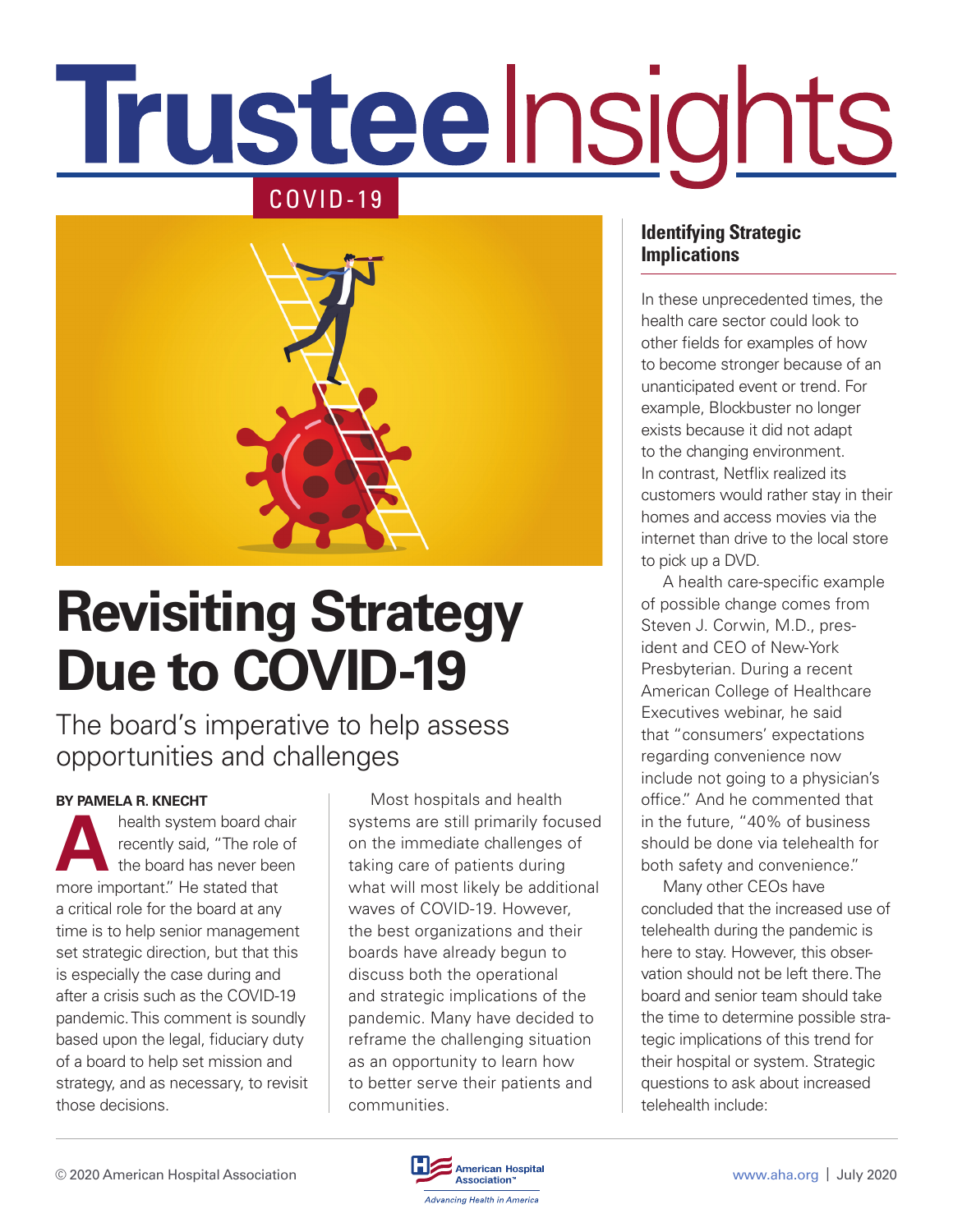# **Trusteelnsights** COVID-19



## **Revisiting Strategy Due to COVID-19**

#### The board's imperative to help assess opportunities and challenges

#### **BY PAMELA R. KNECHT**

health system board chair<br>recently said, "The role of<br>the board has never been<br>more important". He stated that recently said, "The role of the board has never been more important." He stated that a critical role for the board at any time is to help senior management set strategic direction, but that this is especially the case during and after a crisis such as the COVID-19 pandemic. This comment is soundly based upon the legal, fiduciary duty of a board to help set mission and strategy, and as necessary, to revisit those decisions.

Most hospitals and health systems are still primarily focused on the immediate challenges of taking care of patients during what will most likely be additional waves of COVID-19. However, the best organizations and their boards have already begun to discuss both the operational and strategic implications of the pandemic. Many have decided to reframe the challenging situation as an opportunity to learn how to better serve their patients and communities.

#### **Identifying Strategic Implications**

In these unprecedented times, the health care sector could look to other fields for examples of how to become stronger because of an unanticipated event or trend. For example, Blockbuster no longer exists because it did not adapt to the changing environment. In contrast, Netflix realized its customers would rather stay in their homes and access movies via the internet than drive to the local store to pick up a DVD.

A health care-specific example of possible change comes from Steven J. Corwin, M.D., president and CEO of New-York Presbyterian. During a recent American College of Healthcare Executives webinar, he said that "consumers' expectations regarding convenience now include not going to a physician's office." And he commented that in the future, "40% of business should be done via telehealth for both safety and convenience."

Many other CEOs have concluded that the increased use of telehealth during the pandemic is here to stay. However, this observation should not be left there. The board and senior team should take the time to determine possible strategic implications of this trend for their hospital or system. Strategic questions to ask about increased telehealth include:

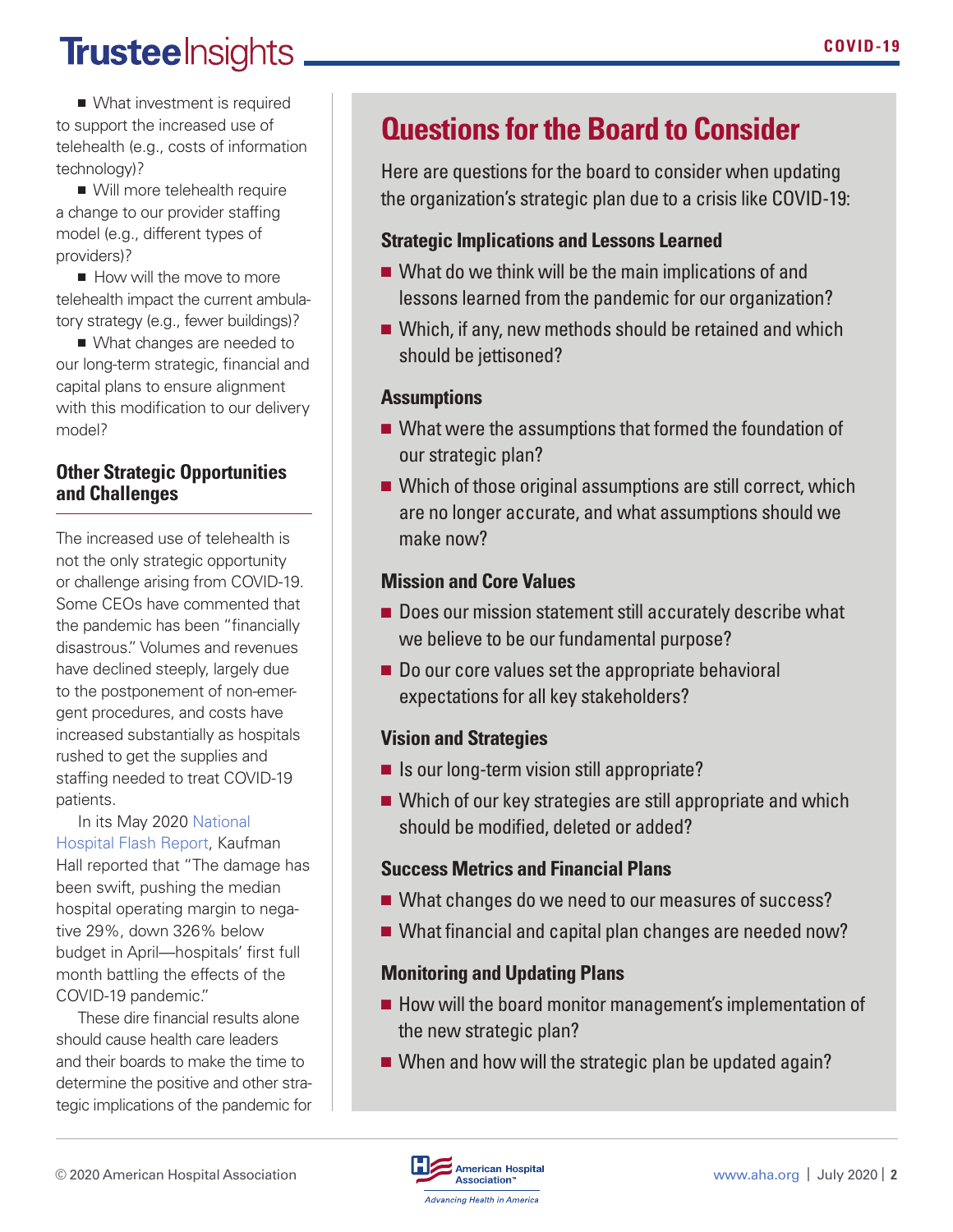## **Trusteelnsights.**

■ What investment is required to support the increased use of telehealth (e.g., costs of information technology)?

■ Will more telehealth require a change to our provider staffing model (e.g., different types of providers)?

■ How will the move to more telehealth impact the current ambulatory strategy (e.g., fewer buildings)?

■ What changes are needed to our long-term strategic, financial and capital plans to ensure alignment with this modification to our delivery model?

#### **Other Strategic Opportunities and Challenges**

The increased use of telehealth is not the only strategic opportunity or challenge arising from COVID-19. Some CEOs have commented that the pandemic has been "financially disastrous." Volumes and revenues have declined steeply, largely due to the postponement of non-emergent procedures, and costs have increased substantially as hospitals rushed to get the supplies and staffing needed to treat COVID-19 patients.

In its May 2020 [National](https://flashreports.kaufmanhall.com/national-hospital-report-may-2020)  [Hospital Flash Report](https://flashreports.kaufmanhall.com/national-hospital-report-may-2020), Kaufman Hall reported that "The damage has been swift, pushing the median hospital operating margin to negative 29%, down 326% below budget in April—hospitals' first full month battling the effects of the COVID-19 pandemic."

These dire financial results alone should cause health care leaders and their boards to make the time to determine the positive and other strategic implications of the pandemic for

### **Questions for the Board to Consider**

Here are questions for the board to consider when updating the organization's strategic plan due to a crisis like COVID-19:

#### **Strategic Implications and Lessons Learned**

- What do we think will be the main implications of and lessons learned from the pandemic for our organization?
- Which, if any, new methods should be retained and which should be jettisoned?

#### **Assumptions**

- What were the assumptions that formed the foundation of our strategic plan?
- Which of those original assumptions are still correct, which are no longer accurate, and what assumptions should we make now?

#### **Mission and Core Values**

- Does our mission statement still accurately describe what we believe to be our fundamental purpose?
- Do our core values set the appropriate behavioral expectations for all key stakeholders?

#### **Vision and Strategies**

- Is our long-term vision still appropriate?
- Which of our key strategies are still appropriate and which should be modified, deleted or added?

#### **Success Metrics and Financial Plans**

- What changes do we need to our measures of success?
- What financial and capital plan changes are needed now?

#### **Monitoring and Updating Plans**

- How will the board monitor management's implementation of the new strategic plan?
- When and how will the strategic plan be updated again?

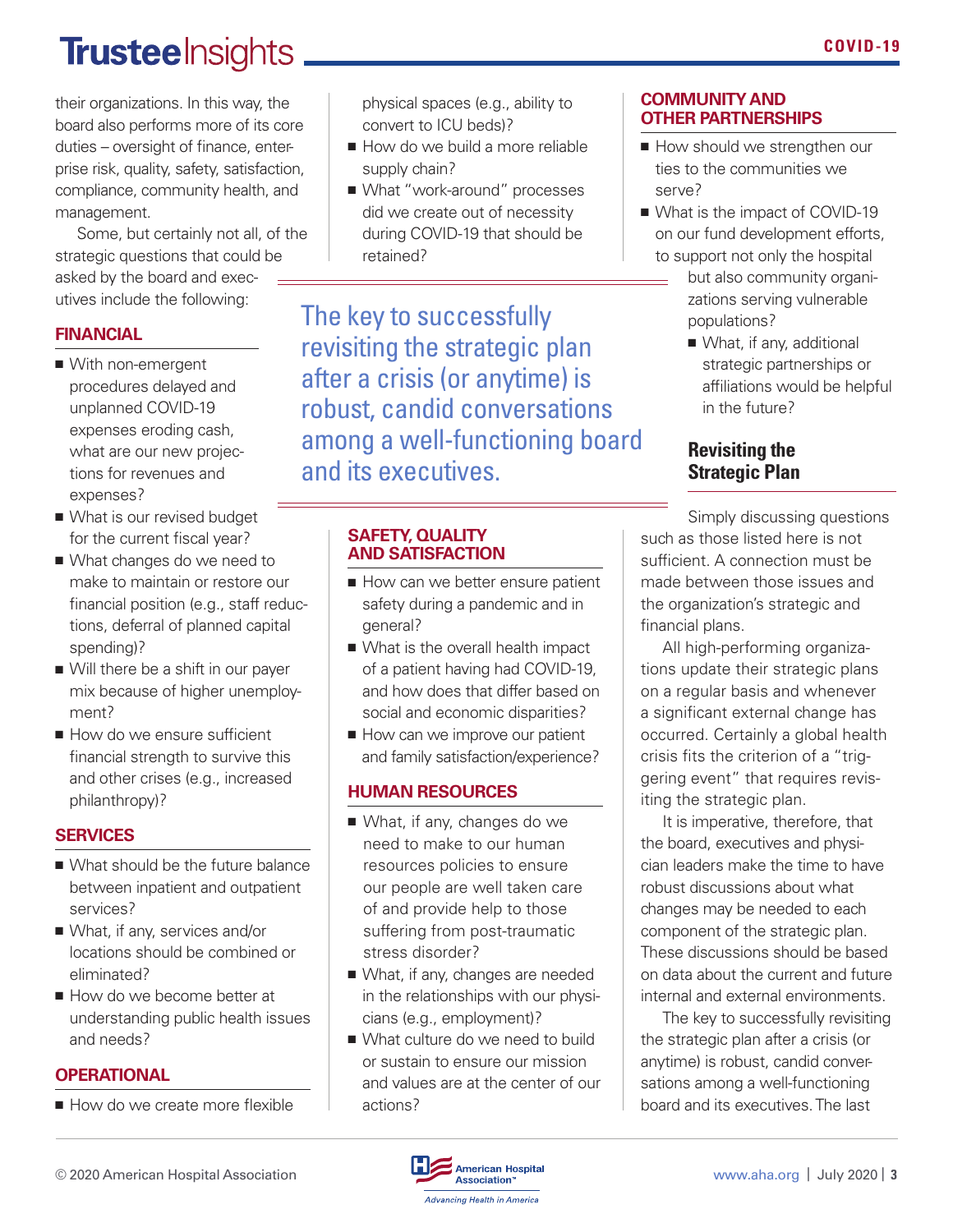## **Trusteelnsights**

their organizations. In this way, the board also performs more of its core duties – oversight of finance, enterprise risk, quality, safety, satisfaction, compliance, community health, and management.

Some, but certainly not all, of the strategic questions that could be asked by the board and executives include the following:

#### **FINANCIAL**

- With non-emergent procedures delayed and unplanned COVID-19 expenses eroding cash, what are our new projections for revenues and expenses?
- What is our revised budget for the current fiscal year?
- What changes do we need to make to maintain or restore our financial position (e.g., staff reductions, deferral of planned capital spending)?
- Will there be a shift in our payer mix because of higher unemployment?
- How do we ensure sufficient financial strength to survive this and other crises (e.g., increased philanthropy)?

#### **SERVICES**

- What should be the future balance between inpatient and outpatient services?
- What, if any, services and/or locations should be combined or eliminated?
- How do we become better at understanding public health issues and needs?

#### **OPERATIONAL**

■ How do we create more flexible

physical spaces (e.g., ability to convert to ICU beds)?

- How do we build a more reliable supply chain?
- What "work-around" processes did we create out of necessity during COVID-19 that should be retained?

The key to successfully revisiting the strategic plan after a crisis (or anytime) is robust, candid conversations among a well-functioning board and its executives.

#### **SAFETY, QUALITY AND SATISFACTION**

- How can we better ensure patient safety during a pandemic and in general?
- What is the overall health impact of a patient having had COVID-19, and how does that differ based on social and economic disparities?
- How can we improve our patient and family satisfaction/experience?

#### **HUMAN RESOURCES**

- What, if any, changes do we need to make to our human resources policies to ensure our people are well taken care of and provide help to those suffering from post-traumatic stress disorder?
- What, if any, changes are needed in the relationships with our physicians (e.g., employment)?
- What culture do we need to build or sustain to ensure our mission and values are at the center of our actions?

#### **COMMUNITY AND OTHER PARTNERSHIPS**

- How should we strengthen our ties to the communities we serve?
- What is the impact of COVID-19 on our fund development efforts, to support not only the hospital
	- but also community organizations serving vulnerable populations?
		- What, if any, additional strategic partnerships or affiliations would be helpful in the future?

#### **Revisiting the Strategic Plan**

Simply discussing questions such as those listed here is not sufficient. A connection must be made between those issues and the organization's strategic and financial plans.

All high-performing organizations update their strategic plans on a regular basis and whenever a significant external change has occurred. Certainly a global health crisis fits the criterion of a "triggering event" that requires revisiting the strategic plan.

It is imperative, therefore, that the board, executives and physician leaders make the time to have robust discussions about what changes may be needed to each component of the strategic plan. These discussions should be based on data about the current and future internal and external environments.

The key to successfully revisiting the strategic plan after a crisis (or anytime) is robust, candid conversations among a well-functioning board and its executives. The last